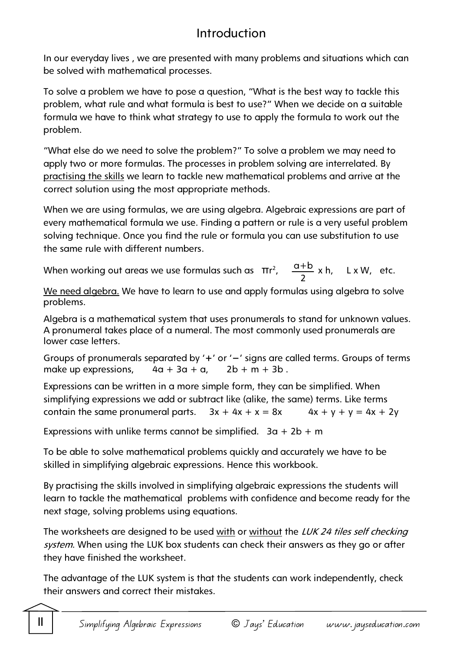# Introduction

In our everyday lives , we are presented with many problems and situations which can be solved with mathematical processes.

To solve a problem we have to pose a question, "What is the best way to tackle this problem, what rule and what formula is best to use?" When we decide on a suitable formula we have to think what strategy to use to apply the formula to work out the problem.

"What else do we need to solve the problem?" To solve a problem we may need to apply two or more formulas. The processes in problem solving are interrelated. By practising the skills we learn to tackle new mathematical problems and arrive at the correct solution using the most appropriate methods.

When we are using formulas, we are using algebra. Algebraic expressions are part of every mathematical formula we use. Finding a pattern or rule is a very useful problem solving technique. Once you find the rule or formula you can use substitution to use the same rule with different numbers.

When working out areas we use formulas such as  $\pi r^2$ ,  $\frac{a+b}{2}$  x h, L x W, etc. 2

We need algebra. We have to learn to use and apply formulas using algebra to solve problems.

Algebra is a mathematical system that uses pronumerals to stand for unknown values. A pronumeral takes place of a numeral. The most commonly used pronumerals are lower case letters.

Groups of pronumerals separated by '**+**' or '**−**' signs are called terms. Groups of terms make up expressions,  $4a + 3a + a$ ,  $2b + m + 3b$ .

Expressions can be written in a more simple form, they can be simplified. When simplifying expressions we add or subtract like (alike, the same) terms. Like terms contain the same pronumeral parts.  $3x + 4x + x = 8x$   $4x + y + y = 4x + 2y$ 

Expressions with unlike terms cannot be simplified.  $3a + 2b + m$ 

To be able to solve mathematical problems quickly and accurately we have to be skilled in simplifying algebraic expressions. Hence this workbook.

By practising the skills involved in simplifying algebraic expressions the students will learn to tackle the mathematical problems with confidence and become ready for the next stage, solving problems using equations.

The worksheets are designed to be used with or without the LUK 24 tiles self checking system. When using the LUK box students can check their answers as they go or after they have finished the worksheet.

The advantage of the LUK system is that the students can work independently, check their answers and correct their mistakes.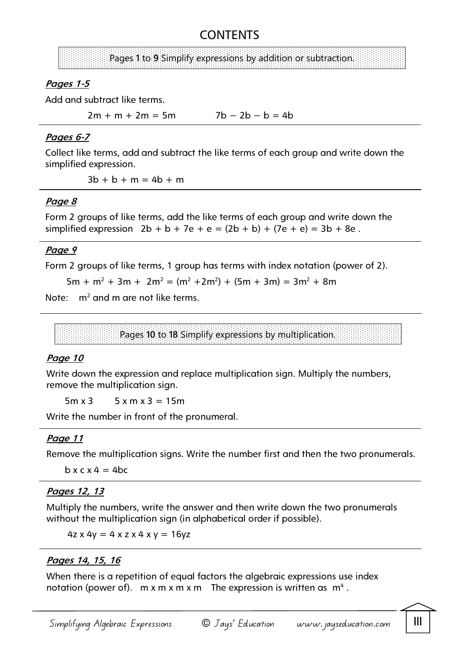# **CONTENTS**

# Pages **1** to **9** Simplify expressions by addition or subtraction.

# **Pages 1-5**

Add and subtract like terms.

 $2m + m + 2m = 5m$   $7b - 2b - b = 4b$ 

#### **Pages 6-7**

Collect like terms, add and subtract the like terms of each group and write down the simplified expression.

 $3b + b + m = 4b + m$ 

## **Page 8**

Form 2 groups of like terms, add the like terms of each group and write down the simplified expression  $2b + b + 7e + e = (2b + b) + (7e + e) = 3b + 8e$ .

# **Page 9**

Form 2 groups of like terms, 1 group has terms with index notation (power of 2).

 $5m + m^2 + 3m + 2m^2 = (m^2 + 2m^2) + (5m + 3m) = 3m^2 + 8m$ 

Note:  $m^2$  and m are not like terms.

Pages **10** to **18** Simplify expressions by multiplication.

## **Page 10**

Write down the expression and replace multiplication sign. Multiply the numbers, remove the multiplication sign.

 $5m x 3$   $5x m x 3 = 15m$ 

Write the number in front of the pronumeral.

## **Page 11**

Remove the multiplication signs. Write the number first and then the two pronumerals.

 $b \times c \times 4 = 4bc$ 

## **Pages 12, 13**

Multiply the numbers, write the answer and then write down the two pronumerals without the multiplication sign (in alphabetical order if possible).

 $4z \times 4y = 4 \times z \times 4 \times y = 16yz$ 

## **Pages 14, 15, 16**

When there is a repetition of equal factors the algebraic expressions use index notation (power of).  $m \times m \times m \times m$  The expression is written as  $m^4$  .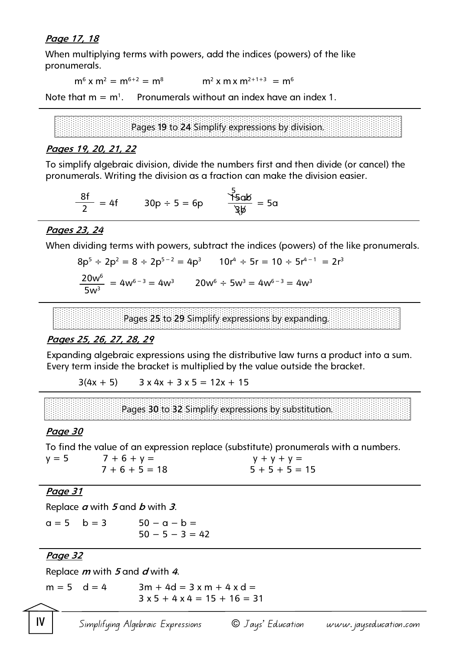#### **Page 17, 18**

When multiplying terms with powers, add the indices (powers) of the like pronumerals.

 $m^6$  x  $m^2 = m^{6+2} = m^8$  m<sup>2</sup> x m x  $m^{2+1+3} = m^6$ 

Note that  $m = m<sup>1</sup>$ . . Pronumerals without an index have an index 1.

Pages **19** to **24** Simplify expressions by division.

#### **Pages 19, 20, 21, 22**

To simplify algebraic division, divide the numbers first and then divide (or cancel) the pronumerals. Writing the division as a fraction can make the division easier.

$$
\frac{8f}{2} = 4f \qquad 30p \div 5 = 6p \qquad \frac{5}{36}d\phi = 5a
$$

#### **Pages 23, 24**

When dividing terms with powers, subtract the indices (powers) of the like pronumerals.

 $r<sup>3</sup>$ 

$$
8p5 \div 2p2 = 8 \div 2p5-2 = 4p3 \qquad 10r4 \div 5r = 10 \div 5r4-1 = 2r3
$$
  

$$
\frac{20w6}{5w3} = 4w6-3 = 4w3 \qquad 20w6 \div 5w3 = 4w6-3 = 4w3
$$

Pages **25** to **29** Simplify expressions by expanding.

#### **Pages 25, 26, 27, 28, 29**

Expanding algebraic expressions using the distributive law turns a product into a sum. Every term inside the bracket is multiplied by the value outside the bracket.

 $3(4x + 5)$   $3x 4x + 3x 5 = 12x + 15$ 

Pages **30** to **32** Simplify expressions by substitution.

#### **Page 30**

To find the value of an expression replace (substitute) pronumerals with a numbers.

 $y = 5$  7 + 6 + y = y + y + y + y =  $7 + 6 + 5 = 18$   $5 + 5 + 5 = 15$ 

#### **Page 31**

Replace **a** with **5** and **b** with **3**.

$$
a = 5
$$
  $b = 3$   $50 - a - b =$   
 $50 - 5 - 3 = 42$ 

# **Page 32**

Replace **m** with **5** and **d** with **4**.

 $m = 5$  d = 4 3m + 4d = 3 x m + 4 x d =  $3 \times 5 + 4 \times 4 = 15 + 16 = 31$